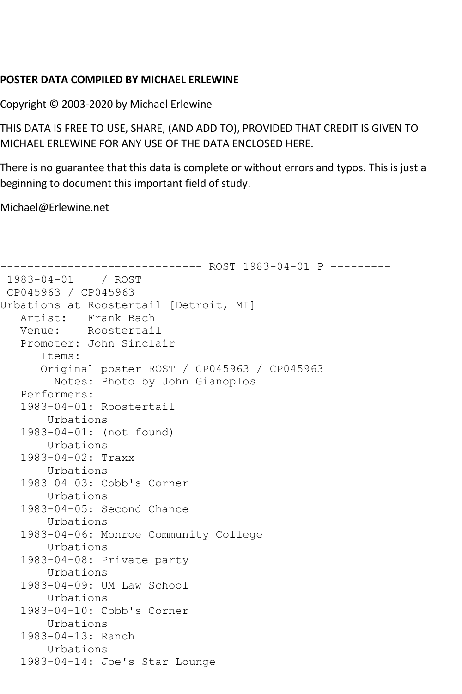## **POSTER DATA COMPILED BY MICHAEL ERLEWINE**

Copyright © 2003-2020 by Michael Erlewine

THIS DATA IS FREE TO USE, SHARE, (AND ADD TO), PROVIDED THAT CREDIT IS GIVEN TO MICHAEL ERLEWINE FOR ANY USE OF THE DATA ENCLOSED HERE.

There is no guarantee that this data is complete or without errors and typos. This is just a beginning to document this important field of study.

Michael@Erlewine.net

```
------------------------------ ROST 1983-04-01 P ---------
1983-04-01 / ROST 
CP045963 / CP045963
Urbations at Roostertail [Detroit, MI]
   Artist: Frank Bach
   Venue: Roostertail
    Promoter: John Sinclair
       Items:
       Original poster ROST / CP045963 / CP045963
         Notes: Photo by John Gianoplos
    Performers:
    1983-04-01: Roostertail
        Urbations
    1983-04-01: (not found)
        Urbations
    1983-04-02: Traxx
        Urbations
    1983-04-03: Cobb's Corner
        Urbations
    1983-04-05: Second Chance
        Urbations
    1983-04-06: Monroe Community College
        Urbations
    1983-04-08: Private party
        Urbations
    1983-04-09: UM Law School
        Urbations
    1983-04-10: Cobb's Corner
        Urbations
    1983-04-13: Ranch
        Urbations
    1983-04-14: Joe's Star Lounge
```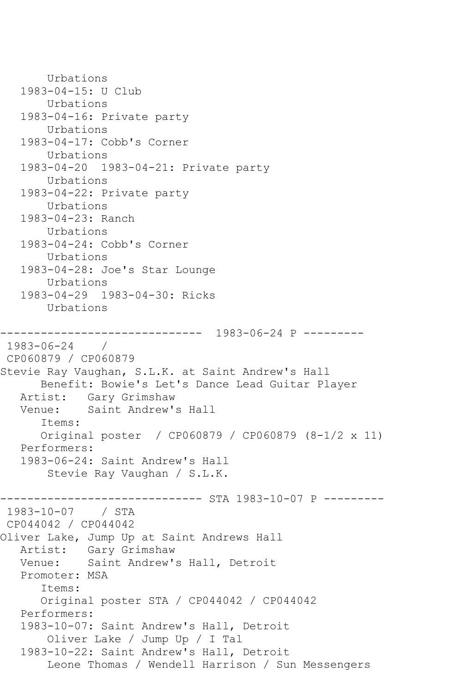Urbations 1983-04-15: U Club Urbations 1983-04-16: Private party Urbations 1983-04-17: Cobb's Corner Urbations 1983-04-20 1983-04-21: Private party Urbations 1983-04-22: Private party Urbations 1983-04-23: Ranch Urbations 1983-04-24: Cobb's Corner Urbations 1983-04-28: Joe's Star Lounge Urbations 1983-04-29 1983-04-30: Ricks Urbations ------------------------------ 1983-06-24 P --------- 1983-06-24 / CP060879 / CP060879 Stevie Ray Vaughan, S.L.K. at Saint Andrew's Hall Benefit: Bowie's Let's Dance Lead Guitar Player Artist: Gary Grimshaw<br>Venue: Saint Andrew's Saint Andrew's Hall Items: Original poster / CP060879 / CP060879 (8-1/2 x 11) Performers: 1983-06-24: Saint Andrew's Hall Stevie Ray Vaughan / S.L.K. ------------------------------ STA 1983-10-07 P --------- 1983-10-07 / STA CP044042 / CP044042 Oliver Lake, Jump Up at Saint Andrews Hall Artist: Gary Grimshaw Venue: Saint Andrew's Hall, Detroit Promoter: MSA Items: Original poster STA / CP044042 / CP044042 Performers: 1983-10-07: Saint Andrew's Hall, Detroit Oliver Lake / Jump Up / I Tal 1983-10-22: Saint Andrew's Hall, Detroit Leone Thomas / Wendell Harrison / Sun Messengers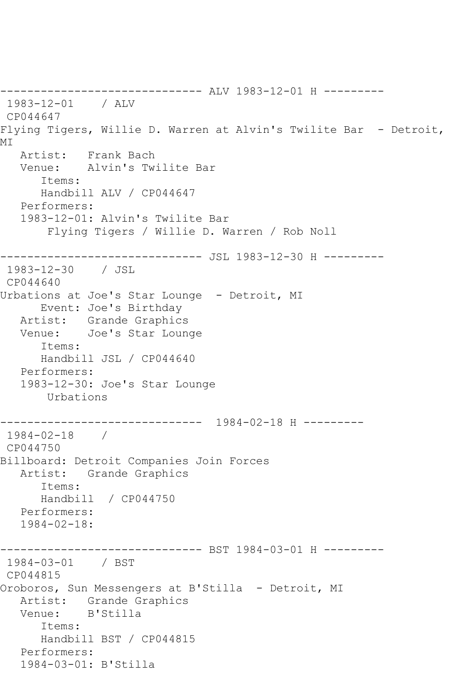------------------------------ ALV 1983-12-01 H --------- 1983-12-01 / ALV CP044647 Flying Tigers, Willie D. Warren at Alvin's Twilite Bar - Detroit, MI Artist: Frank Bach Venue: Alvin's Twilite Bar Items: Handbill ALV / CP044647 Performers: 1983-12-01: Alvin's Twilite Bar Flying Tigers / Willie D. Warren / Rob Noll ------------------------------ JSL 1983-12-30 H --------- 1983-12-30 / JSL CP044640 Urbations at Joe's Star Lounge - Detroit, MI Event: Joe's Birthday Artist: Grande Graphics Venue: Joe's Star Lounge Items: Handbill JSL / CP044640 Performers: 1983-12-30: Joe's Star Lounge Urbations ------------------------------ 1984-02-18 H --------- 1984-02-18 / CP044750 Billboard: Detroit Companies Join Forces Artist: Grande Graphics Items: Handbill / CP044750 Performers: 1984-02-18: ------------------------------ BST 1984-03-01 H --------- 1984-03-01 / BST CP044815 Oroboros, Sun Messengers at B'Stilla - Detroit, MI Artist: Grande Graphics Venue: B'Stilla Items: Handbill BST / CP044815 Performers: 1984-03-01: B'Stilla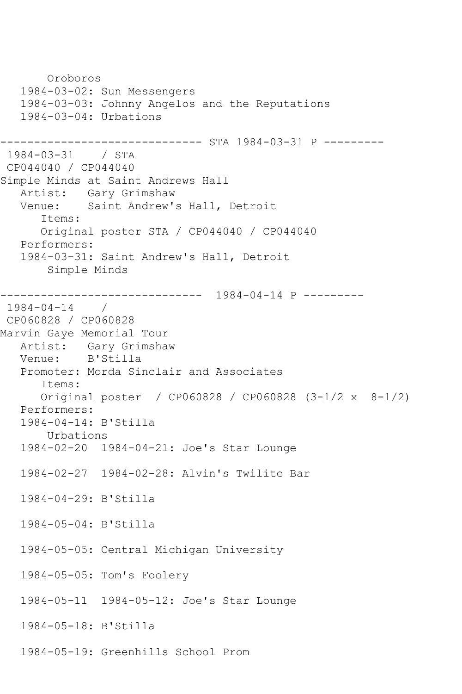Oroboros 1984-03-02: Sun Messengers 1984-03-03: Johnny Angelos and the Reputations 1984-03-04: Urbations ------------------------------ STA 1984-03-31 P --------- 1984-03-31 / STA CP044040 / CP044040 Simple Minds at Saint Andrews Hall Artist: Gary Grimshaw<br>Venue: Saint Andrew's Saint Andrew's Hall, Detroit Items: Original poster STA / CP044040 / CP044040 Performers: 1984-03-31: Saint Andrew's Hall, Detroit Simple Minds ------------------------------ 1984-04-14 P ---------  $1984 - 04 - 14$ CP060828 / CP060828 Marvin Gaye Memorial Tour Artist: Gary Grimshaw Venue: B'Stilla Promoter: Morda Sinclair and Associates Items: Original poster / CP060828 / CP060828 (3-1/2 x 8-1/2) Performers: 1984-04-14: B'Stilla Urbations 1984-02-20 1984-04-21: Joe's Star Lounge 1984-02-27 1984-02-28: Alvin's Twilite Bar 1984-04-29: B'Stilla 1984-05-04: B'Stilla 1984-05-05: Central Michigan University 1984-05-05: Tom's Foolery 1984-05-11 1984-05-12: Joe's Star Lounge 1984-05-18: B'Stilla 1984-05-19: Greenhills School Prom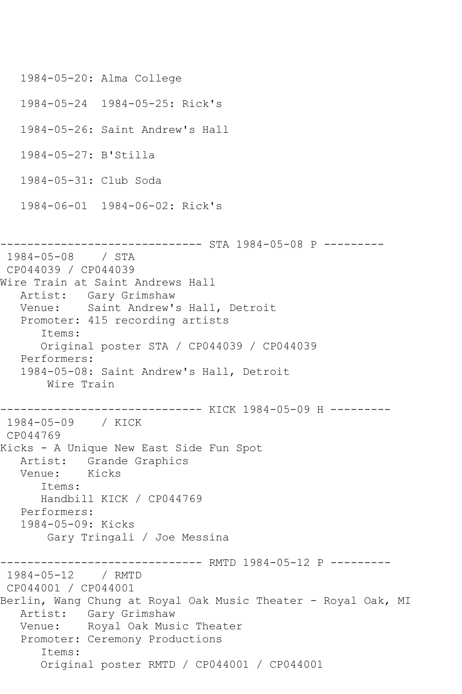```
 1984-05-20: Alma College
   1984-05-24 1984-05-25: Rick's
   1984-05-26: Saint Andrew's Hall
   1984-05-27: B'Stilla
   1984-05-31: Club Soda
   1984-06-01 1984-06-02: Rick's
------------------------------ STA 1984-05-08 P ---------
1984-05-08 / STA 
CP044039 / CP044039
Wire Train at Saint Andrews Hall
   Artist: Gary Grimshaw
   Venue: Saint Andrew's Hall, Detroit
   Promoter: 415 recording artists
      Items:
      Original poster STA / CP044039 / CP044039
   Performers:
   1984-05-08: Saint Andrew's Hall, Detroit
       Wire Train
------------------------------ KICK 1984-05-09 H ---------
1984-05-09 / KICK 
CP044769
Kicks - A Unique New East Side Fun Spot
   Artist: Grande Graphics
   Venue: Kicks
      Items:
      Handbill KICK / CP044769
   Performers:
   1984-05-09: Kicks
       Gary Tringali / Joe Messina
------------------------------ RMTD 1984-05-12 P ---------
1984-05-12 / RMTD 
CP044001 / CP044001
Berlin, Wang Chung at Royal Oak Music Theater - Royal Oak, MI
 Artist: Gary Grimshaw
 Venue: Royal Oak Music Theater
   Promoter: Ceremony Productions
      Items:
      Original poster RMTD / CP044001 / CP044001
```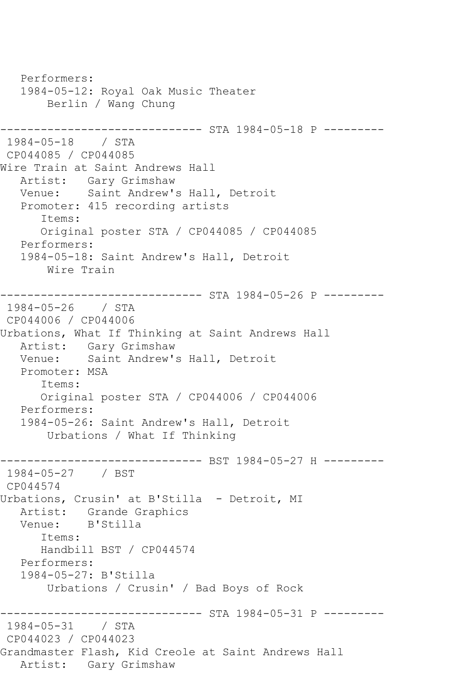Performers: 1984-05-12: Royal Oak Music Theater Berlin / Wang Chung ------------------------------ STA 1984-05-18 P --------- 1984-05-18 / STA CP044085 / CP044085 Wire Train at Saint Andrews Hall Artist: Gary Grimshaw Venue: Saint Andrew's Hall, Detroit Promoter: 415 recording artists Items: Original poster STA / CP044085 / CP044085 Performers: 1984-05-18: Saint Andrew's Hall, Detroit Wire Train ------------------------------ STA 1984-05-26 P --------- 1984-05-26 / STA CP044006 / CP044006 Urbations, What If Thinking at Saint Andrews Hall Artist: Gary Grimshaw Venue: Saint Andrew's Hall, Detroit Promoter: MSA Items: Original poster STA / CP044006 / CP044006 Performers: 1984-05-26: Saint Andrew's Hall, Detroit Urbations / What If Thinking ------------------------------ BST 1984-05-27 H --------- 1984-05-27 / BST CP044574 Urbations, Crusin' at B'Stilla - Detroit, MI Artist: Grande Graphics Venue: B'Stilla Items: Handbill BST / CP044574 Performers: 1984-05-27: B'Stilla Urbations / Crusin' / Bad Boys of Rock ------------- STA 1984-05-31 P ---------1984-05-31 / STA CP044023 / CP044023 Grandmaster Flash, Kid Creole at Saint Andrews Hall Artist: Gary Grimshaw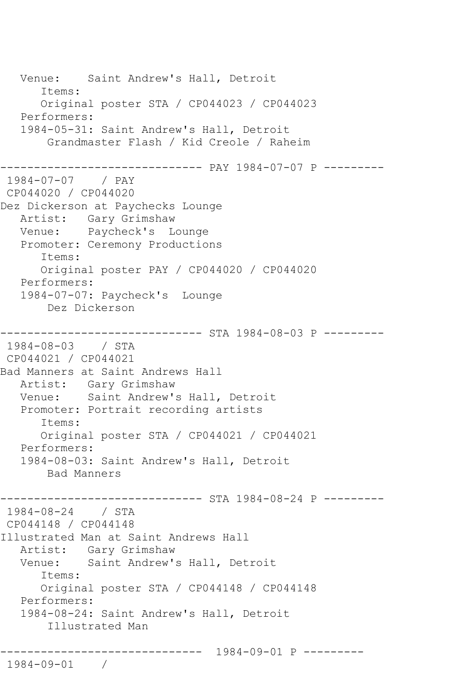Venue: Saint Andrew's Hall, Detroit Items: Original poster STA / CP044023 / CP044023 Performers: 1984-05-31: Saint Andrew's Hall, Detroit Grandmaster Flash / Kid Creole / Raheim ------------------------------ PAY 1984-07-07 P --------- 1984-07-07 / PAY CP044020 / CP044020 Dez Dickerson at Paychecks Lounge Artist: Gary Grimshaw Venue: Paycheck's Lounge Promoter: Ceremony Productions Items: Original poster PAY / CP044020 / CP044020 Performers: 1984-07-07: Paycheck's Lounge Dez Dickerson ------------------------------ STA 1984-08-03 P --------- 1984-08-03 / STA CP044021 / CP044021 Bad Manners at Saint Andrews Hall Artist: Gary Grimshaw<br>Venue: Saint Andrew's Saint Andrew's Hall, Detroit Promoter: Portrait recording artists Items: Original poster STA / CP044021 / CP044021 Performers: 1984-08-03: Saint Andrew's Hall, Detroit Bad Manners ------------------------------ STA 1984-08-24 P --------- 1984-08-24 / STA CP044148 / CP044148 Illustrated Man at Saint Andrews Hall Artist: Gary Grimshaw Venue: Saint Andrew's Hall, Detroit Items: Original poster STA / CP044148 / CP044148 Performers: 1984-08-24: Saint Andrew's Hall, Detroit Illustrated Man ------------------------------ 1984-09-01 P --------- 1984-09-01 /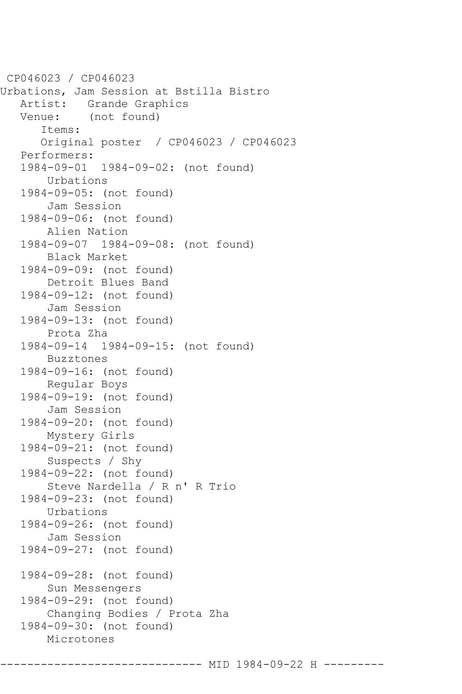CP046023 / CP046023 Urbations, Jam Session at Bstilla Bistro Artist: Grande Graphics Venue: (not found) Items: Original poster / CP046023 / CP046023 Performers: 1984-09-01 1984-09-02: (not found) Urbations 1984-09-05: (not found) Jam Session 1984-09-06: (not found) Alien Nation 1984-09-07 1984-09-08: (not found) Black Market 1984-09-09: (not found) Detroit Blues Band 1984-09-12: (not found) Jam Session 1984-09-13: (not found) Prota Zha 1984-09-14 1984-09-15: (not found) Buzztones 1984-09-16: (not found) Regular Boys 1984-09-19: (not found) Jam Session 1984-09-20: (not found) Mystery Girls 1984-09-21: (not found) Suspects / Shy 1984-09-22: (not found) Steve Nardella / R n' R Trio 1984-09-23: (not found) Urbations 1984-09-26: (not found) Jam Session 1984-09-27: (not found) 1984-09-28: (not found) Sun Messengers 1984-09-29: (not found) Changing Bodies / Prota Zha 1984-09-30: (not found) Microtones

------------- MID 1984-09-22 H -------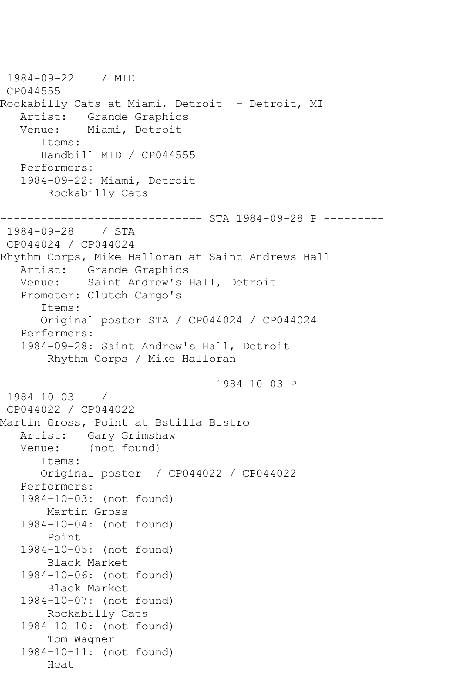1984-09-22 / MID CP044555 Rockabilly Cats at Miami, Detroit - Detroit, MI Artist: Grande Graphics<br>Venue: Miami, Detroit Miami, Detroit Items: Handbill MID / CP044555 Performers: 1984-09-22: Miami, Detroit Rockabilly Cats ------------------------------ STA 1984-09-28 P --------- 1984-09-28 / STA CP044024 / CP044024 Rhythm Corps, Mike Halloran at Saint Andrews Hall Artist: Grande Graphics Venue: Saint Andrew's Hall, Detroit Promoter: Clutch Cargo's Items: Original poster STA / CP044024 / CP044024 Performers: 1984-09-28: Saint Andrew's Hall, Detroit Rhythm Corps / Mike Halloran ------------------------------ 1984-10-03 P ---------  $1984 - 10 - 03$ CP044022 / CP044022 Martin Gross, Point at Bstilla Bistro Artist: Gary Grimshaw Venue: (not found) Items: Original poster / CP044022 / CP044022 Performers: 1984-10-03: (not found) Martin Gross 1984-10-04: (not found) Point 1984-10-05: (not found) Black Market 1984-10-06: (not found) Black Market 1984-10-07: (not found) Rockabilly Cats 1984-10-10: (not found) Tom Wagner 1984-10-11: (not found) Heat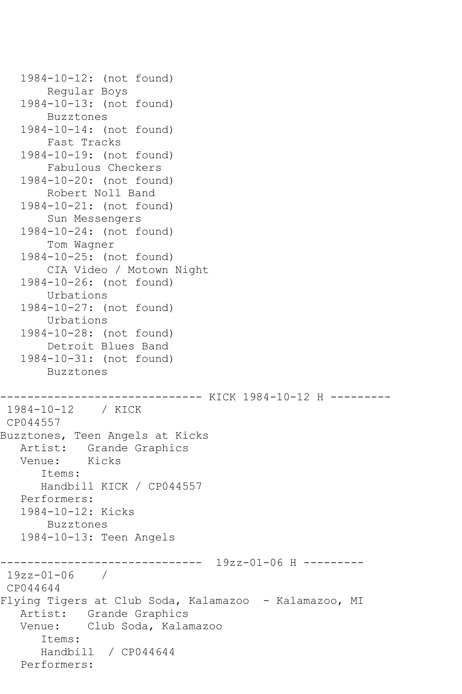```
 1984-10-12: (not found)
        Regular Boys
    1984-10-13: (not found)
        Buzztones
    1984-10-14: (not found)
        Fast Tracks
    1984-10-19: (not found)
        Fabulous Checkers
    1984-10-20: (not found)
        Robert Noll Band
    1984-10-21: (not found)
        Sun Messengers
    1984-10-24: (not found)
        Tom Wagner
    1984-10-25: (not found)
        CIA Video / Motown Night
    1984-10-26: (not found)
        Urbations
    1984-10-27: (not found)
        Urbations
    1984-10-28: (not found)
        Detroit Blues Band
    1984-10-31: (not found)
        Buzztones
         ------------------------------ KICK 1984-10-12 H ---------
1984-10-12 / KICK 
CP044557
Buzztones, Teen Angels at Kicks
  Artist: Grande Graphics<br>Venue: Kicks
  Venue:
       Items:
       Handbill KICK / CP044557
    Performers:
    1984-10-12: Kicks
        Buzztones
    1984-10-13: Teen Angels
           ------------------------------ 19zz-01-06 H ---------
19zz-01-06 /
CP044644
Flying Tigers at Club Soda, Kalamazoo - Kalamazoo, MI
    Artist: Grande Graphics
    Venue: Club Soda, Kalamazoo
       Items:
       Handbill / CP044644
    Performers:
```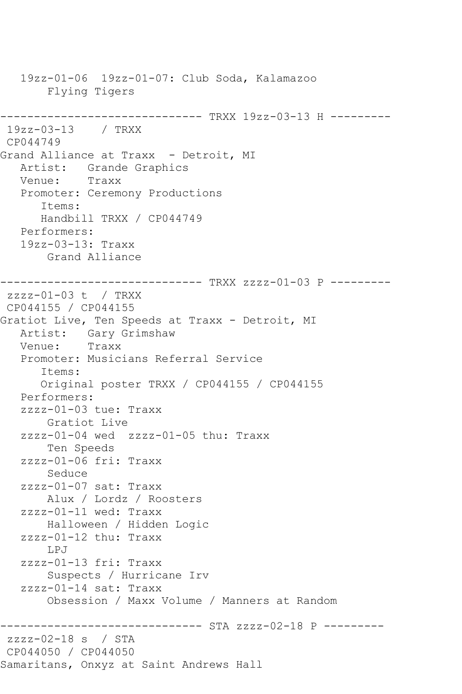19zz-01-06 19zz-01-07: Club Soda, Kalamazoo Flying Tigers ------------------------------ TRXX 19zz-03-13 H --------- 19zz-03-13 / TRXX CP044749 Grand Alliance at Traxx - Detroit, MI Artist: Grande Graphics Venue: Traxx Promoter: Ceremony Productions Items: Handbill TRXX / CP044749 Performers: 19zz-03-13: Traxx Grand Alliance ------------------------------ TRXX zzzz-01-03 P -------- zzzz-01-03 t / TRXX CP044155 / CP044155 Gratiot Live, Ten Speeds at Traxx - Detroit, MI Artist: Gary Grimshaw<br>Venue: Traxx Venue: Promoter: Musicians Referral Service Items: Original poster TRXX / CP044155 / CP044155 Performers: zzzz-01-03 tue: Traxx Gratiot Live zzzz-01-04 wed zzzz-01-05 thu: Traxx Ten Speeds zzzz-01-06 fri: Traxx Seduce zzzz-01-07 sat: Traxx Alux / Lordz / Roosters zzzz-01-11 wed: Traxx Halloween / Hidden Logic zzzz-01-12 thu: Traxx LPJ zzzz-01-13 fri: Traxx Suspects / Hurricane Irv zzzz-01-14 sat: Traxx Obsession / Maxx Volume / Manners at Random ------------------------------ STA zzzz-02-18 P -------- zzzz-02-18 s / STA CP044050 / CP044050 Samaritans, Onxyz at Saint Andrews Hall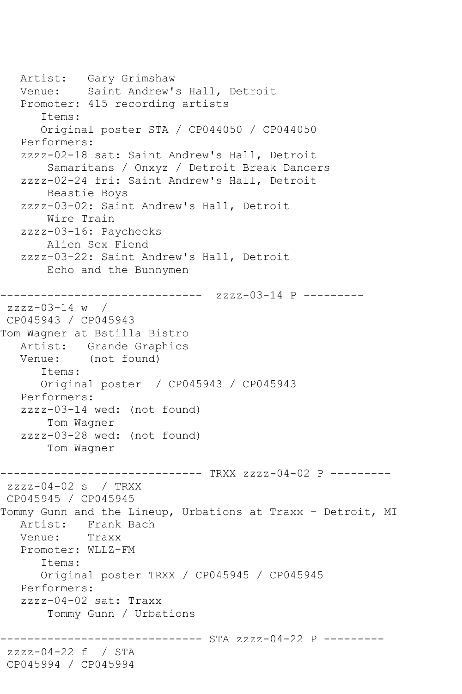Artist: Gary Grimshaw Venue: Saint Andrew's Hall, Detroit Promoter: 415 recording artists Items: Original poster STA / CP044050 / CP044050 Performers: zzzz-02-18 sat: Saint Andrew's Hall, Detroit Samaritans / Onxyz / Detroit Break Dancers zzzz-02-24 fri: Saint Andrew's Hall, Detroit Beastie Boys zzzz-03-02: Saint Andrew's Hall, Detroit Wire Train zzzz-03-16: Paychecks Alien Sex Fiend zzzz-03-22: Saint Andrew's Hall, Detroit Echo and the Bunnymen ------------------------------ zzzz-03-14 P -------- zzzz-03-14 w / CP045943 / CP045943 Tom Wagner at Bstilla Bistro Artist: Grande Graphics Venue: (not found) Items: Original poster / CP045943 / CP045943 Performers: zzzz-03-14 wed: (not found) Tom Wagner zzzz-03-28 wed: (not found) Tom Wagner ------------------------------ TRXX zzzz-04-02 P -------- zzzz-04-02 s / TRXX CP045945 / CP045945 Tommy Gunn and the Lineup, Urbations at Traxx - Detroit, MI Artist: Frank Bach<br>Venue: Traxx Venue: Promoter: WLLZ-FM Items: Original poster TRXX / CP045945 / CP045945 Performers: zzzz-04-02 sat: Traxx Tommy Gunn / Urbations ----------- STA zzzz-04-22 P --------zzzz-04-22 f / STA CP045994 / CP045994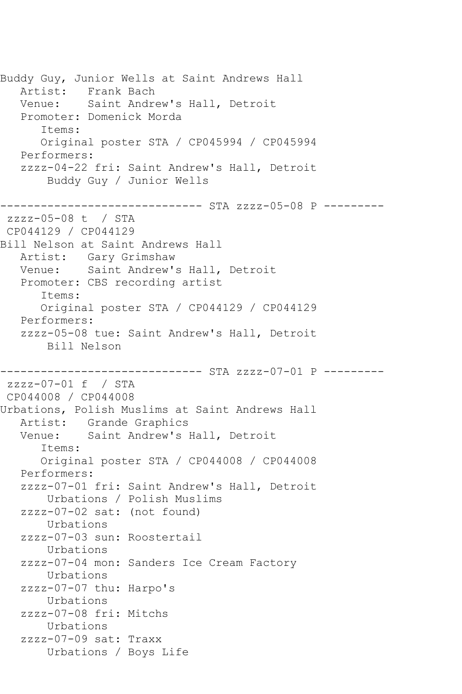Buddy Guy, Junior Wells at Saint Andrews Hall Artist: Frank Bach Venue: Saint Andrew's Hall, Detroit Promoter: Domenick Morda Items: Original poster STA / CP045994 / CP045994 Performers: zzzz-04-22 fri: Saint Andrew's Hall, Detroit Buddy Guy / Junior Wells ------------------------------ STA zzzz-05-08 P -------- zzzz-05-08 t / STA CP044129 / CP044129 Bill Nelson at Saint Andrews Hall Artist: Gary Grimshaw Venue: Saint Andrew's Hall, Detroit Promoter: CBS recording artist Items: Original poster STA / CP044129 / CP044129 Performers: zzzz-05-08 tue: Saint Andrew's Hall, Detroit Bill Nelson ------------------------------ STA zzzz-07-01 P -------- zzzz-07-01 f / STA CP044008 / CP044008 Urbations, Polish Muslims at Saint Andrews Hall Artist: Grande Graphics Venue: Saint Andrew's Hall, Detroit Items: Original poster STA / CP044008 / CP044008 Performers: zzzz-07-01 fri: Saint Andrew's Hall, Detroit Urbations / Polish Muslims zzzz-07-02 sat: (not found) Urbations zzzz-07-03 sun: Roostertail Urbations zzzz-07-04 mon: Sanders Ice Cream Factory Urbations zzzz-07-07 thu: Harpo's Urbations zzzz-07-08 fri: Mitchs Urbations zzzz-07-09 sat: Traxx Urbations / Boys Life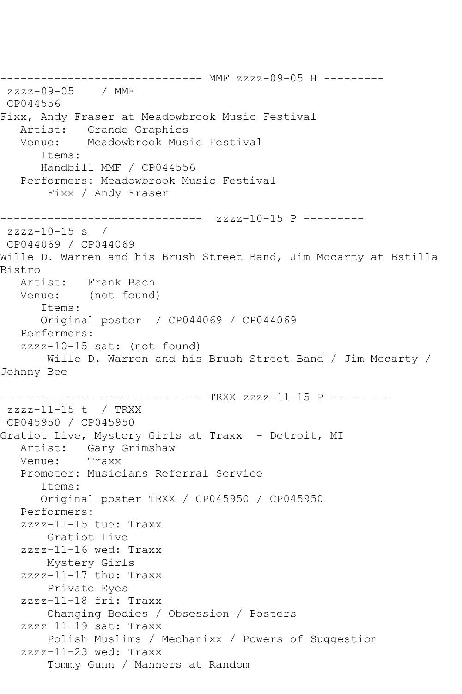------------------------------ MMF zzzz-09-05 H -------- zzzz-09-05 / MMF CP044556 Fixx, Andy Fraser at Meadowbrook Music Festival Artist: Grande Graphics Venue: Meadowbrook Music Festival Items: Handbill MMF / CP044556 Performers: Meadowbrook Music Festival Fixx / Andy Fraser ------------------------------ zzzz-10-15 P --------  $zzzz-10-15$  s / CP044069 / CP044069 Wille D. Warren and his Brush Street Band, Jim Mccarty at Bstilla Bistro Artist: Frank Bach Venue: (not found) Items: Original poster / CP044069 / CP044069 Performers: zzzz-10-15 sat: (not found) Wille D. Warren and his Brush Street Band / Jim Mccarty / Johnny Bee ------------------------------ TRXX zzzz-11-15 P -------- zzzz-11-15 t / TRXX CP045950 / CP045950 Gratiot Live, Mystery Girls at Traxx - Detroit, MI Artist: Gary Grimshaw Venue: Traxx Promoter: Musicians Referral Service Items: Original poster TRXX / CP045950 / CP045950 Performers: zzzz-11-15 tue: Traxx Gratiot Live zzzz-11-16 wed: Traxx Mystery Girls zzzz-11-17 thu: Traxx Private Eyes zzzz-11-18 fri: Traxx Changing Bodies / Obsession / Posters zzzz-11-19 sat: Traxx Polish Muslims / Mechanixx / Powers of Suggestion zzzz-11-23 wed: Traxx Tommy Gunn / Manners at Random